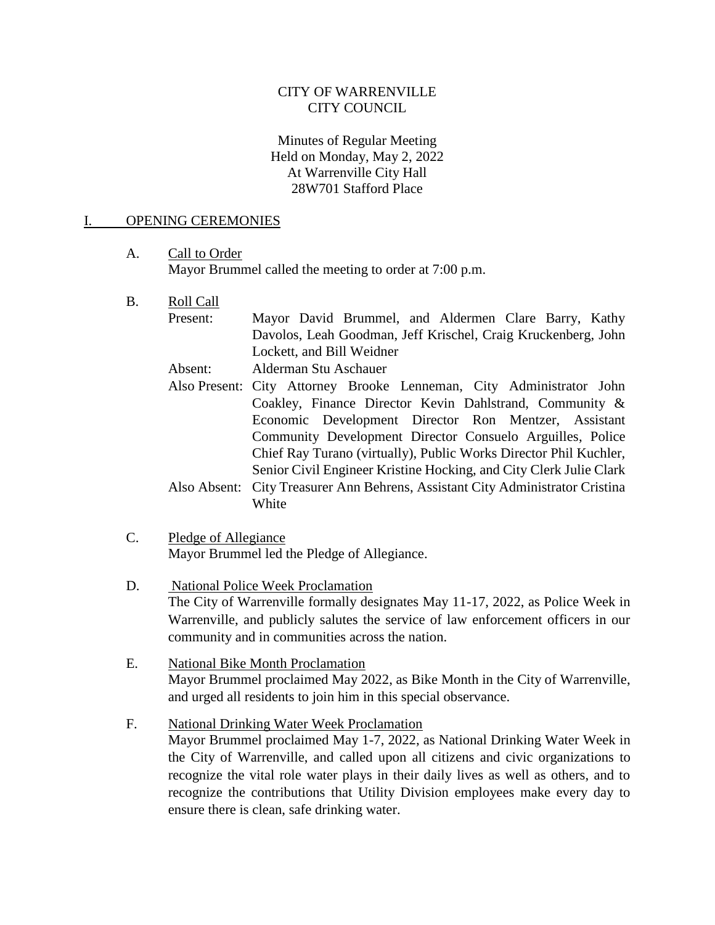## CITY OF WARRENVILLE CITY COUNCIL

### Minutes of Regular Meeting Held on Monday, May 2, 2022 At Warrenville City Hall 28W701 Stafford Place

#### I. OPENING CEREMONIES

## A. Call to Order Mayor Brummel called the meeting to order at 7:00 p.m.

- B. Roll Call
	- Present: Mayor David Brummel, and Aldermen Clare Barry, Kathy Davolos, Leah Goodman, Jeff Krischel, Craig Kruckenberg, John Lockett, and Bill Weidner

Absent: Alderman Stu Aschauer

- Also Present: City Attorney Brooke Lenneman, City Administrator John Coakley, Finance Director Kevin Dahlstrand, Community & Economic Development Director Ron Mentzer, Assistant Community Development Director Consuelo Arguilles, Police Chief Ray Turano (virtually), Public Works Director Phil Kuchler, Senior Civil Engineer Kristine Hocking, and City Clerk Julie Clark Also Absent: City Treasurer Ann Behrens, Assistant City Administrator Cristina White
- C. Pledge of Allegiance Mayor Brummel led the Pledge of Allegiance.
- D. National Police Week Proclamation The City of Warrenville formally designates May 11-17, 2022, as Police Week in Warrenville, and publicly salutes the service of law enforcement officers in our community and in communities across the nation.
- E. National Bike Month Proclamation Mayor Brummel proclaimed May 2022, as Bike Month in the City of Warrenville, and urged all residents to join him in this special observance.

# F. National Drinking Water Week Proclamation Mayor Brummel proclaimed May 1-7, 2022, as National Drinking Water Week in the City of Warrenville, and called upon all citizens and civic organizations to recognize the vital role water plays in their daily lives as well as others, and to recognize the contributions that Utility Division employees make every day to ensure there is clean, safe drinking water.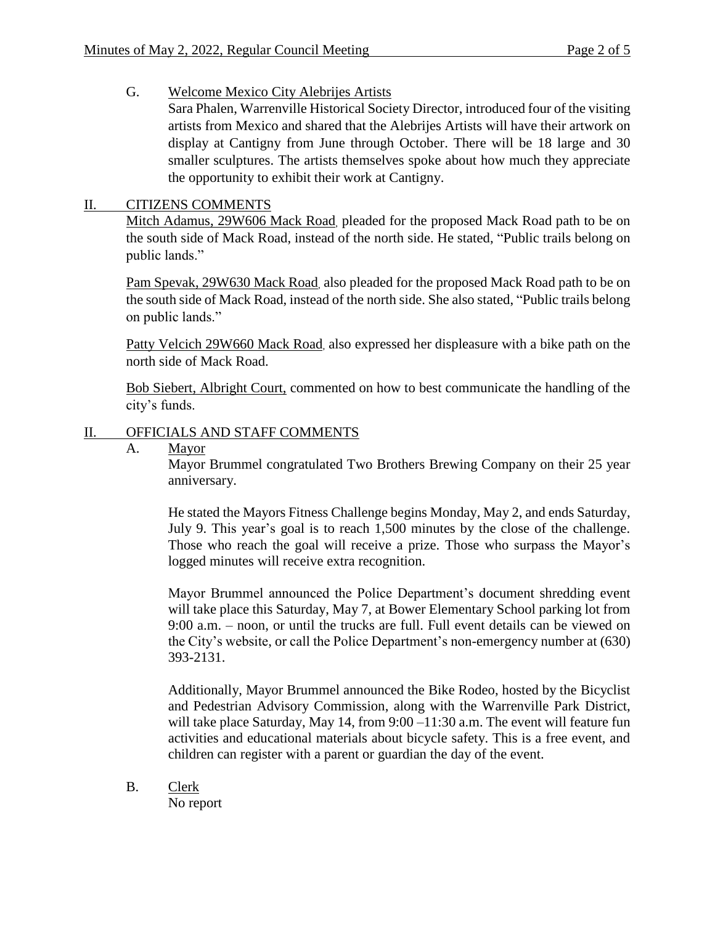# G. Welcome Mexico City Alebrijes Artists

Sara Phalen, Warrenville Historical Society Director, introduced four of the visiting artists from Mexico and shared that the Alebrijes Artists will have their artwork on display at Cantigny from June through October. There will be 18 large and 30 smaller sculptures. The artists themselves spoke about how much they appreciate the opportunity to exhibit their work at Cantigny.

# II. CITIZENS COMMENTS

Mitch Adamus, 29W606 Mack Road, pleaded for the proposed Mack Road path to be on the south side of Mack Road, instead of the north side. He stated, "Public trails belong on public lands."

Pam Spevak, 29W630 Mack Road, also pleaded for the proposed Mack Road path to be on the south side of Mack Road, instead of the north side. She also stated, "Public trails belong on public lands."

Patty Velcich 29W660 Mack Road, also expressed her displeasure with a bike path on the north side of Mack Road.

Bob Siebert, Albright Court, commented on how to best communicate the handling of the city's funds.

# II. OFFICIALS AND STAFF COMMENTS

A. Mayor

Mayor Brummel congratulated Two Brothers Brewing Company on their 25 year anniversary.

He stated the Mayors Fitness Challenge begins Monday, May 2, and ends Saturday, July 9. This year's goal is to reach 1,500 minutes by the close of the challenge. Those who reach the goal will receive a prize. Those who surpass the Mayor's logged minutes will receive extra recognition.

Mayor Brummel announced the Police Department's document shredding event will take place this Saturday, May 7, at Bower Elementary School parking lot from 9:00 a.m. – noon, or until the trucks are full. Full event details can be viewed on the City's website, or call the Police Department's non-emergency number at (630) 393-2131.

Additionally, Mayor Brummel announced the Bike Rodeo, hosted by the Bicyclist and Pedestrian Advisory Commission, along with the Warrenville Park District, will take place Saturday, May 14, from 9:00 –11:30 a.m. The event will feature fun activities and educational materials about bicycle safety. This is a free event, and children can register with a parent or guardian the day of the event.

B. Clerk

No report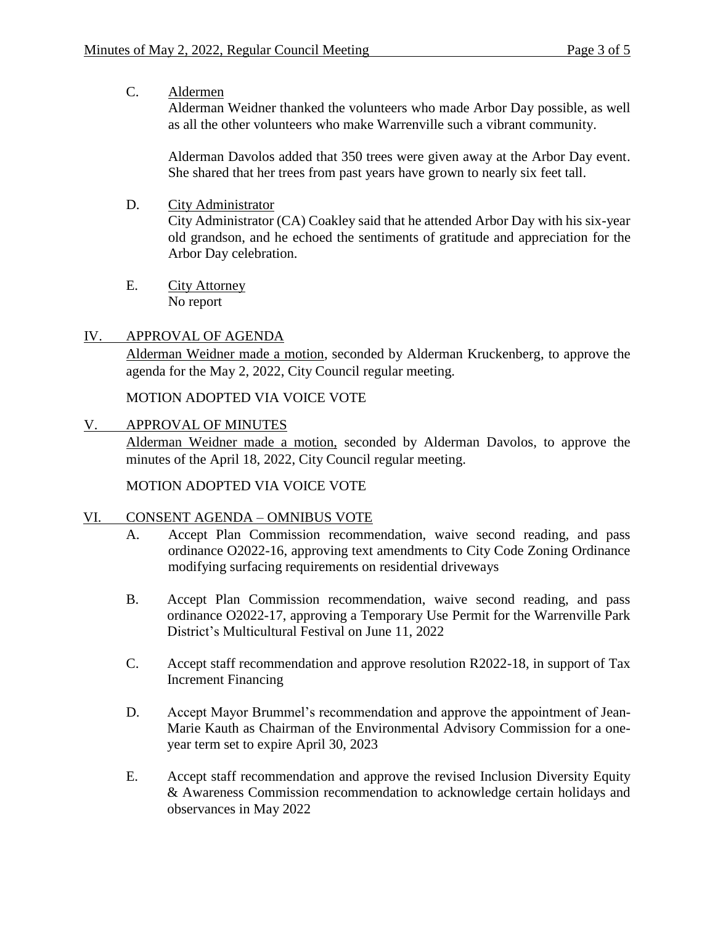## C. Aldermen

Alderman Weidner thanked the volunteers who made Arbor Day possible, as well as all the other volunteers who make Warrenville such a vibrant community.

Alderman Davolos added that 350 trees were given away at the Arbor Day event. She shared that her trees from past years have grown to nearly six feet tall.

D. City Administrator

City Administrator (CA) Coakley said that he attended Arbor Day with his six-year old grandson, and he echoed the sentiments of gratitude and appreciation for the Arbor Day celebration.

E. City Attorney No report

# IV. APPROVAL OF AGENDA

Alderman Weidner made a motion, seconded by Alderman Kruckenberg, to approve the agenda for the May 2, 2022, City Council regular meeting.

MOTION ADOPTED VIA VOICE VOTE

V. APPROVAL OF MINUTES

Alderman Weidner made a motion, seconded by Alderman Davolos, to approve the minutes of the April 18, 2022, City Council regular meeting.

MOTION ADOPTED VIA VOICE VOTE

## VI. CONSENT AGENDA – OMNIBUS VOTE

- A. Accept Plan Commission recommendation, waive second reading, and pass ordinance O2022-16, approving text amendments to City Code Zoning Ordinance modifying surfacing requirements on residential driveways
- B. Accept Plan Commission recommendation, waive second reading, and pass ordinance O2022-17, approving a Temporary Use Permit for the Warrenville Park District's Multicultural Festival on June 11, 2022
- C. Accept staff recommendation and approve resolution R2022-18, in support of Tax Increment Financing
- D. Accept Mayor Brummel's recommendation and approve the appointment of Jean-Marie Kauth as Chairman of the Environmental Advisory Commission for a oneyear term set to expire April 30, 2023
- E. Accept staff recommendation and approve the revised Inclusion Diversity Equity & Awareness Commission recommendation to acknowledge certain holidays and observances in May 2022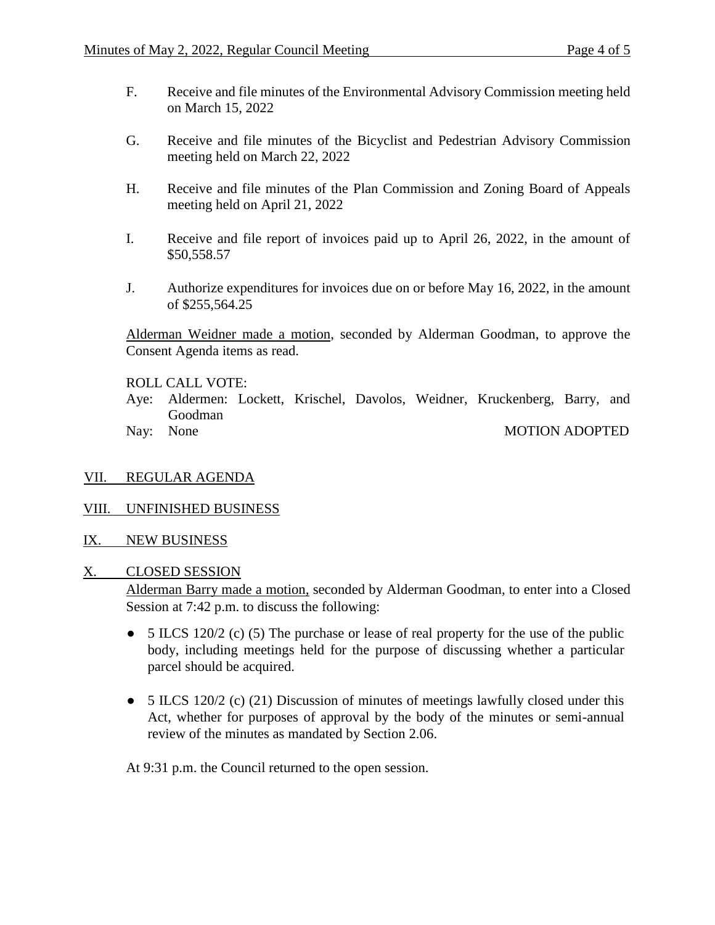- F. Receive and file minutes of the Environmental Advisory Commission meeting held on March 15, 2022
- G. Receive and file minutes of the Bicyclist and Pedestrian Advisory Commission meeting held on March 22, 2022
- H. Receive and file minutes of the Plan Commission and Zoning Board of Appeals meeting held on April 21, 2022
- I. Receive and file report of invoices paid up to April 26, 2022, in the amount of \$50,558.57
- J. Authorize expenditures for invoices due on or before May 16, 2022, in the amount of \$255,564.25

Alderman Weidner made a motion, seconded by Alderman Goodman, to approve the Consent Agenda items as read.

ROLL CALL VOTE:

- Aye: Aldermen: Lockett, Krischel, Davolos, Weidner, Kruckenberg, Barry, and Goodman
- 

Nay: None MOTION ADOPTED

VII. REGULAR AGENDA

#### VIII. UNFINISHED BUSINESS

IX. NEW BUSINESS

#### X. CLOSED SESSION

Alderman Barry made a motion, seconded by Alderman Goodman, to enter into a Closed Session at 7:42 p.m. to discuss the following:

- $\bullet$  5 ILCS 120/2 (c) (5) The purchase or lease of real property for the use of the public body, including meetings held for the purpose of discussing whether a particular parcel should be acquired.
- $\bullet$  5 ILCS 120/2 (c) (21) Discussion of minutes of meetings lawfully closed under this Act, whether for purposes of approval by the body of the minutes or semi-annual review of the minutes as mandated by Section 2.06.

At 9:31 p.m. the Council returned to the open session.